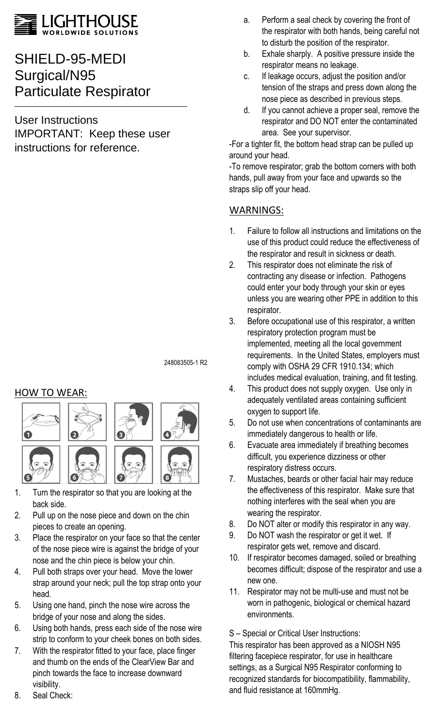

# SHIELD-95-MEDI Surgical/N95 Particulate Respirator

User Instructions IMPORTANT: Keep these user instructions for reference.

248083505-1 R2

## HOW TO WEAR:



- 1. Turn the respirator so that you are looking at the back side.
- 2. Pull up on the nose piece and down on the chin pieces to create an opening.
- 3. Place the respirator on your face so that the center of the nose piece wire is against the bridge of your nose and the chin piece is below your chin.
- 4. Pull both straps over your head. Move the lower strap around your neck; pull the top strap onto your head.
- 5. Using one hand, pinch the nose wire across the bridge of your nose and along the sides.
- 6. Using both hands, press each side of the nose wire strip to conform to your cheek bones on both sides.
- 7. With the respirator fitted to your face, place finger and thumb on the ends of the ClearView Bar and pinch towards the face to increase downward visibility.
- a. Perform a seal check by covering the front of the respirator with both hands, being careful not to disturb the position of the respirator.
	- b. Exhale sharply. A positive pressure inside the respirator means no leakage.
	- c. If leakage occurs, adjust the position and/or tension of the straps and press down along the nose piece as described in previous steps.
	- d. If you cannot achieve a proper seal, remove the respirator and DO NOT enter the contaminated area. See your supervisor.

-For a tighter fit, the bottom head strap can be pulled up around your head.

-To remove respirator; grab the bottom corners with both hands, pull away from your face and upwards so the straps slip off your head.

# WARNINGS:

- 1. Failure to follow all instructions and limitations on the use of this product could reduce the effectiveness of the respirator and result in sickness or death.
- 2. This respirator does not eliminate the risk of contracting any disease or infection. Pathogens could enter your body through your skin or eyes unless you are wearing other PPE in addition to this respirator.
- 3. Before occupational use of this respirator, a written respiratory protection program must be implemented, meeting all the local government requirements. In the United States, employers must comply with OSHA 29 CFR 1910.134; which includes medical evaluation, training, and fit testing.
- 4. This product does not supply oxygen. Use only in adequately ventilated areas containing sufficient oxygen to support life.
- 5. Do not use when concentrations of contaminants are immediately dangerous to health or life.
- 6. Evacuate area immediately if breathing becomes difficult, you experience dizziness or other respiratory distress occurs.
- 7. Mustaches, beards or other facial hair may reduce the effectiveness of this respirator. Make sure that nothing interferes with the seal when you are wearing the respirator.
- 8. Do NOT alter or modify this respirator in any way.
- 9. Do NOT wash the respirator or get it wet. If respirator gets wet, remove and discard.
- 10. If respirator becomes damaged, soiled or breathing becomes difficult; dispose of the respirator and use a new one.
- 11. Respirator may not be multi-use and must not be worn in pathogenic, biological or chemical hazard environments.

S – Special or Critical User Instructions:

This respirator has been approved as a NIOSH N95 filtering facepiece respirator, for use in healthcare settings, as a Surgical N95 Respirator conforming to recognized standards for biocompatibility, flammability, and fluid resistance at 160mmHg.

8. Seal Check: